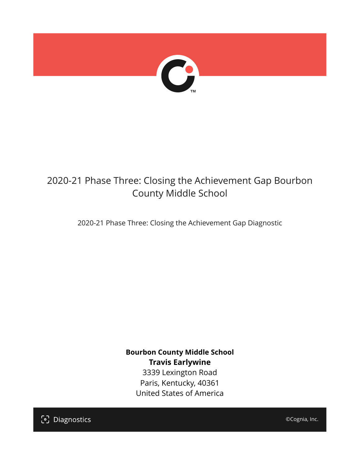

## 2020-21 Phase Three: Closing the Achievement Gap Bourbon County Middle School

2020-21 Phase Three: Closing the Achievement Gap Diagnostic

**Bourbon County Middle School Travis Earlywine** 3339 Lexington Road Paris, Kentucky, 40361 United States of America

[၁] Diagnostics

©Cognia, Inc.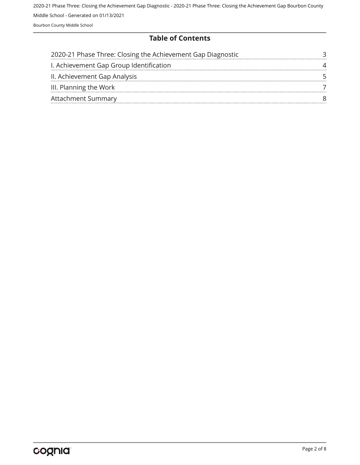#### **Table of Contents**

| 2020-21 Phase Three: Closing the Achievement Gap Diagnostic |  |
|-------------------------------------------------------------|--|
| I. Achievement Gap Group Identification                     |  |
| II. Achievement Gap Analysis                                |  |
| III. Planning the Work                                      |  |
| <b>Attachment Summary</b>                                   |  |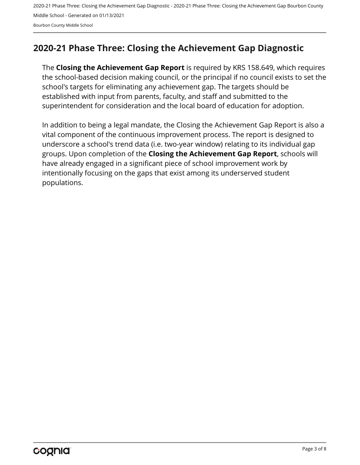## <span id="page-2-0"></span>**2020-21 Phase Three: Closing the Achievement Gap Diagnostic**

The **Closing the Achievement Gap Report** is required by KRS 158.649, which requires the school-based decision making council, or the principal if no council exists to set the school's targets for eliminating any achievement gap. The targets should be established with input from parents, faculty, and staff and submitted to the superintendent for consideration and the local board of education for adoption.

In addition to being a legal mandate, the Closing the Achievement Gap Report is also a vital component of the continuous improvement process. The report is designed to underscore a school's trend data (i.e. two-year window) relating to its individual gap groups. Upon completion of the **Closing the Achievement Gap Report**, schools will have already engaged in a significant piece of school improvement work by intentionally focusing on the gaps that exist among its underserved student populations.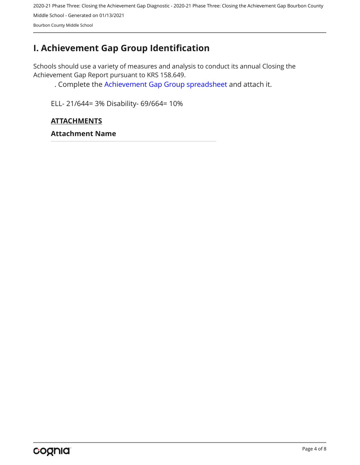## <span id="page-3-0"></span>**I. Achievement Gap Group Identification**

Schools should use a variety of measures and analysis to conduct its annual Closing the Achievement Gap Report pursuant to KRS 158.649.

. Complete the [Achievement Gap Group spreadsheet a](https://drive.google.com/file/d/0B7A6n8V1dmUOWFNKY2dSTTFibjA/view?usp=sharing)nd attach it.

ELL- 21/644= 3% Disability- 69/664= 10%

### **ATTACHMENTS**

**Attachment Name**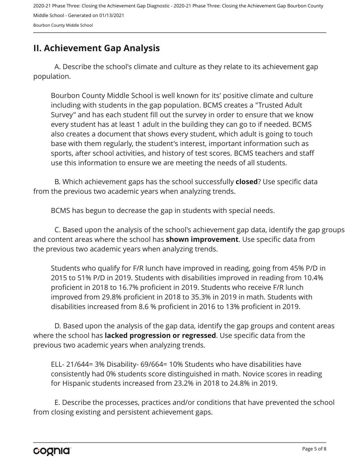#### Bourbon County Middle School

## <span id="page-4-0"></span>**II. Achievement Gap Analysis**

A. Describe the school's climate and culture as they relate to its achievement gap population.

Bourbon County Middle School is well known for its' positive climate and culture including with students in the gap population. BCMS creates a "Trusted Adult Survey" and has each student fill out the survey in order to ensure that we know every student has at least 1 adult in the building they can go to if needed. BCMS also creates a document that shows every student, which adult is going to touch base with them regularly, the student's interest, important information such as sports, after school activities, and history of test scores. BCMS teachers and staff use this information to ensure we are meeting the needs of all students.

B. Which achievement gaps has the school successfully **closed**? Use specific data from the previous two academic years when analyzing trends.

BCMS has begun to decrease the gap in students with special needs.

C. Based upon the analysis of the school's achievement gap data, identify the gap groups and content areas where the school has **shown improvement**. Use specific data from the previous two academic years when analyzing trends.

Students who qualify for F/R lunch have improved in reading, going from 45% P/D in 2015 to 51% P/D in 2019. Students with disabilities improved in reading from 10.4% proficient in 2018 to 16.7% proficient in 2019. Students who receive F/R lunch improved from 29.8% proficient in 2018 to 35.3% in 2019 in math. Students with disabilities increased from 8.6 % proficient in 2016 to 13% proficient in 2019.

D. Based upon the analysis of the gap data, identify the gap groups and content areas where the school has **lacked progression or regressed**. Use specific data from the previous two academic years when analyzing trends.

ELL- 21/644= 3% Disability- 69/664= 10% Students who have disabilities have consistently had 0% students score distinguished in math. Novice scores in reading for Hispanic students increased from 23.2% in 2018 to 24.8% in 2019.

E. Describe the processes, practices and/or conditions that have prevented the school from closing existing and persistent achievement gaps.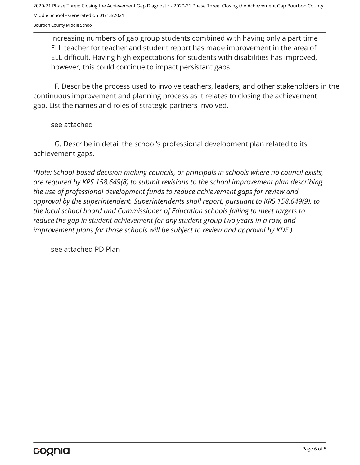Bourbon County Middle School

Increasing numbers of gap group students combined with having only a part time ELL teacher for teacher and student report has made improvement in the area of ELL difficult. Having high expectations for students with disabilities has improved, however, this could continue to impact persistant gaps.

F. Describe the process used to involve teachers, leaders, and other stakeholders in the continuous improvement and planning process as it relates to closing the achievement gap. List the names and roles of strategic partners involved.

see attached

G. Describe in detail the school's professional development plan related to its achievement gaps.

*(Note: School-based decision making councils, or principals in schools where no council exists, are required by KRS 158.649(8) to submit revisions to the school improvement plan describing the use of professional development funds to reduce achievement gaps for review and approval by the superintendent. Superintendents shall report, pursuant to KRS 158.649(9), to the local school board and Commissioner of Education schools failing to meet targets to reduce the gap in student achievement for any student group two years in a row, and improvement plans for those schools will be subject to review and approval by KDE.)* 

see attached PD Plan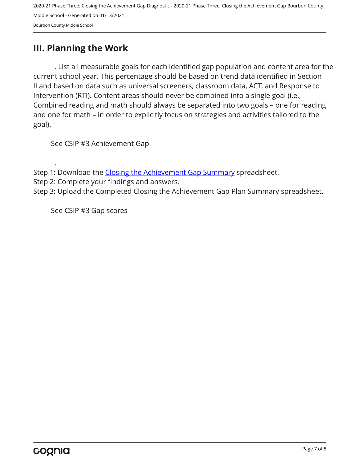## <span id="page-6-0"></span>**III. Planning the Work**

. List all measurable goals for each identified gap population and content area for the current school year. This percentage should be based on trend data identified in Section II and based on data such as universal screeners, classroom data, ACT, and Response to Intervention (RTI). Content areas should never be combined into a single goal (i.e., Combined reading and math should always be separated into two goals – one for reading and one for math – in order to explicitly focus on strategies and activities tailored to the goal).

See CSIP #3 Achievement Gap

- Step 1: Download the [Closing the Achievement Gap Summary](https://drive.google.com/file/d/0B6i22i6omk4ySmUtTHZuSVRFazQ/view) spreadsheet.
- Step 2: Complete your findings and answers.

Step 3: Upload the Completed Closing the Achievement Gap Plan Summary spreadsheet.

See CSIP #3 Gap scores

.